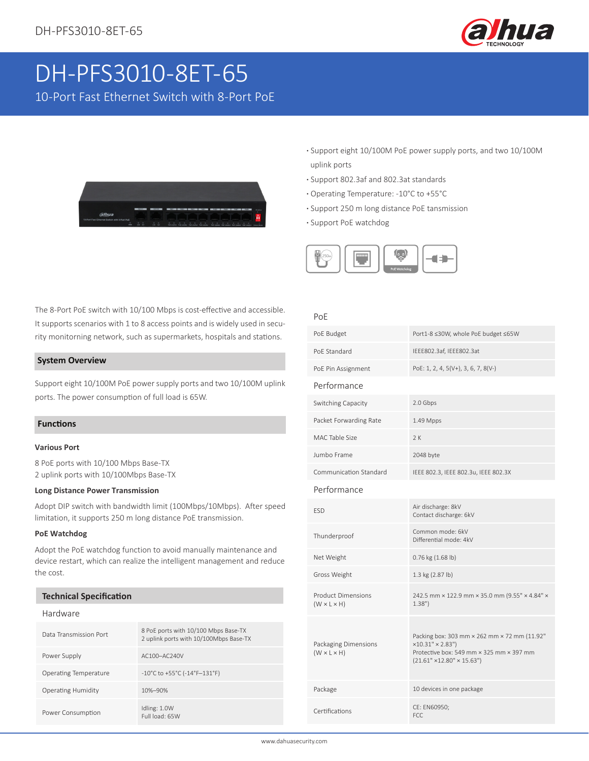

# DH-PFS3010-8ET-65

10-Port Fast Ethernet Switch with 8-Port PoE



- **·** Support eight 10/100M PoE power supply ports, and two 10/100M uplink ports
- **·** Support 802.3af and 802.3at standards
- **·** Operating Temperature: -10°C to +55°C
- **·** Support 250 m long distance PoE tansmission
- **·** Support PoE watchdog



# The 8-Port PoE switch with 10/100 Mbps is cost-effective and accessible. It supports scenarios with 1 to 8 access points and is widely used in security monitorning network, such as supermarkets, hospitals and stations.

#### **System Overview**

Support eight 10/100M PoE power supply ports and two 10/100M uplink ports. The power consumption of full load is 65W.

#### **Functions**

#### **Various Port**

8 PoE ports with 10/100 Mbps Base-TX 2 uplink ports with 10/100Mbps Base-TX

#### **Long Distance Power Transmission**

Adopt DIP switch with bandwidth limit (100Mbps/10Mbps). After speed limitation, it supports 250 m long distance PoE transmission.

#### **PoE Watchdog**

Adopt the PoE watchdog function to avoid manually maintenance and device restart, which can realize the intelligent management and reduce the cost.

#### **Technical Specification**

#### Hardware

| Data Transmission Port       | 8 PoE ports with 10/100 Mbps Base-TX<br>2 uplink ports with 10/100Mbps Base-TX |
|------------------------------|--------------------------------------------------------------------------------|
| Power Supply                 | AC100-AC240V                                                                   |
| <b>Operating Temperature</b> | $-10^{\circ}$ C to +55 $^{\circ}$ C (-14 $^{\circ}$ F $-131^{\circ}$ F)        |
| <b>Operating Humidity</b>    | 10%-90%                                                                        |
| Power Consumption            | Idling: 1.0W<br>Full load: 65W                                                 |

#### PoE

| PoE Budget                                           | Port1-8 ≤30W, whole PoE budget ≤65W                                                                                                                    |
|------------------------------------------------------|--------------------------------------------------------------------------------------------------------------------------------------------------------|
| PoF Standard                                         | IEEE802.3af, IEEE802.3at                                                                                                                               |
| PoE Pin Assignment                                   | PoE: 1, 2, 4, 5(V+), 3, 6, 7, 8(V-)                                                                                                                    |
| Performance                                          |                                                                                                                                                        |
| Switching Capacity                                   | 2.0 Gbps                                                                                                                                               |
| Packet Forwarding Rate                               | $1.49$ Mpps                                                                                                                                            |
| MAC Table Size                                       | 2K                                                                                                                                                     |
| Jumbo Frame                                          | 2048 byte                                                                                                                                              |
| Communication Standard                               | IEEE 802.3, IEEE 802.3u, IEEE 802.3X                                                                                                                   |
| Performance                                          |                                                                                                                                                        |
| <b>ESD</b>                                           | Air discharge: 8kV<br>Contact discharge: 6kV                                                                                                           |
| Thunderproof                                         | Common mode: 6kV<br>Differential mode: 4kV                                                                                                             |
| Net Weight                                           | 0.76 kg (1.68 lb)                                                                                                                                      |
| Gross Weight                                         | 1.3 kg (2.87 lb)                                                                                                                                       |
| <b>Product Dimensions</b><br>$(W \times L \times H)$ | 242.5 mm × 122.9 mm × 35.0 mm (9.55" × 4.84" ×<br>1.38"                                                                                                |
| Packaging Dimensions<br>$(W \times L \times H)$      | Packing box: 303 mm × 262 mm × 72 mm (11.92"<br>×10.31" × 2.83")<br>Protective box: 549 mm × 325 mm × 397 mm<br>$(21.61" \times 12.80" \times 15.63")$ |
| Package                                              | 10 devices in one package                                                                                                                              |
| Certifications                                       | CE: EN60950;<br>FCC                                                                                                                                    |